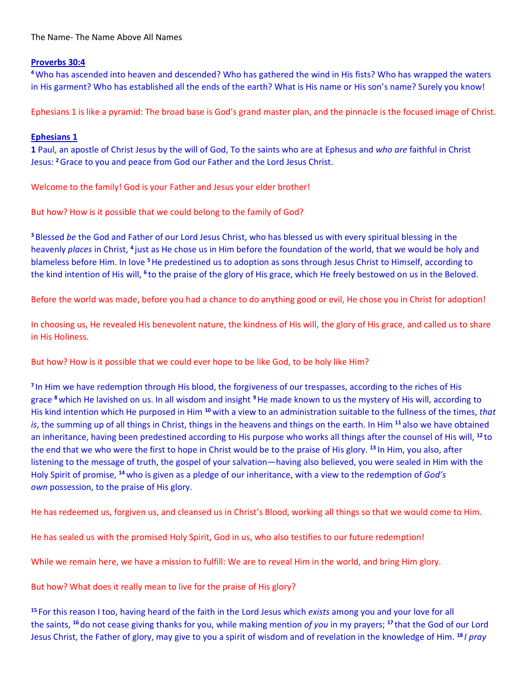The Name- The Name Above All Names

## **Proverbs 30:4**

**<sup>4</sup>**Who has ascended into heaven and descended? Who has gathered the wind in His fists? Who has wrapped the waters in His garment? Who has established all the ends of the earth? What is His name or His son's name? Surely you know!

Ephesians 1 is like a pyramid: The broad base is God's grand master plan, and the pinnacle is the focused image of Christ.

## **Ephesians 1**

**1** Paul, an apostle of Christ Jesus by the will of God, To the saints who are at Ephesus and *who are* faithful in Christ Jesus: **<sup>2</sup>**Grace to you and peace from God our Father and the Lord Jesus Christ.

Welcome to the family! God is your Father and Jesus your elder brother!

But how? How is it possible that we could belong to the family of God?

**<sup>3</sup>**Blessed *be* the God and Father of our Lord Jesus Christ, who has blessed us with every spiritual blessing in the heavenly *places* in Christ, <sup>4</sup> just as He chose us in Him before the foundation of the world, that we would be holy and blameless before Him. In love **<sup>5</sup>**He predestined us to adoption as sons through Jesus Christ to Himself, according to the kind intention of His will, <sup>6</sup> to the praise of the glory of His grace, which He freely bestowed on us in the Beloved.

Before the world was made, before you had a chance to do anything good or evil, He chose you in Christ for adoption!

In choosing us, He revealed His benevolent nature, the kindness of His will, the glory of His grace, and called us to share in His Holiness.

But how? How is it possible that we could ever hope to be like God, to be holy like Him?

**7** In Him we have redemption through His blood, the forgiveness of our trespasses, according to the riches of His grace **<sup>8</sup>**which He lavished on us. In all wisdom and insight **<sup>9</sup>**He made known to us the mystery of His will, according to His kind intention which He purposed in Him **<sup>10</sup>** with a view to an administration suitable to the fullness of the times, *that is*, the summing up of all things in Christ, things in the heavens and things on the earth. In Him **<sup>11</sup>** also we have obtained an inheritance, having been predestined according to His purpose who works all things after the counsel of His will, **<sup>12</sup>** to the end that we who were the first to hope in Christ would be to the praise of His glory. **<sup>13</sup>** In Him, you also, after listening to the message of truth, the gospel of your salvation—having also believed, you were sealed in Him with the Holy Spirit of promise, **<sup>14</sup>** who is given as a pledge of our inheritance, with a view to the redemption of *God's own* possession, to the praise of His glory.

He has redeemed us, forgiven us, and cleansed us in Christ's Blood, working all things so that we would come to Him.

He has sealed us with the promised Holy Spirit, God in us, who also testifies to our future redemption!

While we remain here, we have a mission to fulfill: We are to reveal Him in the world, and bring Him glory.

But how? What does it really mean to live for the praise of His glory?

**<sup>15</sup>** For this reason I too, having heard of the faith in the Lord Jesus which *exists* among you and your love for all the saints, **<sup>16</sup>** do not cease giving thanks for you, while making mention *of you* in my prayers; **<sup>17</sup>** that the God of our Lord Jesus Christ, the Father of glory, may give to you a spirit of wisdom and of revelation in the knowledge of Him. **<sup>18</sup>** *I pray*